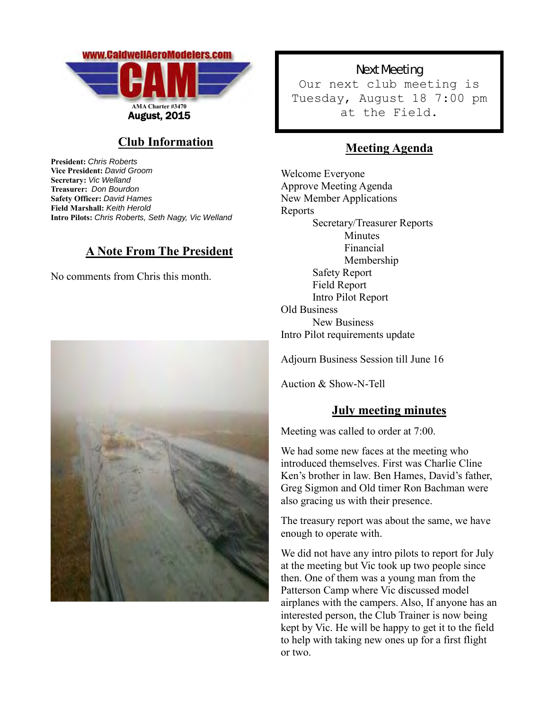

## **Club Information**

**President:** *Chris Roberts* **Vice President:** *David Groom* **Secretary:** *Vic Welland* **Treasurer:** *Don Bourdon* **Safety Officer:** *David Hames* **Field Marshall:** *Keith Herold* **Intro Pilots:** *Chris Roberts, Seth Nagy, Vic Welland*

### **A Note From The President**

No comments from Chris this month.



Next Meeting Our next club meeting is Tuesday, August 18 7:00 pm at the Field.

# **Meeting Agenda**

Welcome Everyone Approve Meeting Agenda New Member Applications Reports Secretary/Treasurer Reports Minutes Financial Membership Safety Report Field Report Intro Pilot Report Old Business New Business Intro Pilot requirements update

Adjourn Business Session till June 16

Auction & Show-N-Tell

### **July meeting minutes**

Meeting was called to order at 7:00.

We had some new faces at the meeting who introduced themselves. First was Charlie Cline Ken's brother in law. Ben Hames, David's father, Greg Sigmon and Old timer Ron Bachman were also gracing us with their presence.

The treasury report was about the same, we have enough to operate with.

We did not have any intro pilots to report for July at the meeting but Vic took up two people since then. One of them was a young man from the Patterson Camp where Vic discussed model airplanes with the campers. Also, If anyone has an interested person, the Club Trainer is now being kept by Vic. He will be happy to get it to the field to help with taking new ones up for a first flight or two.